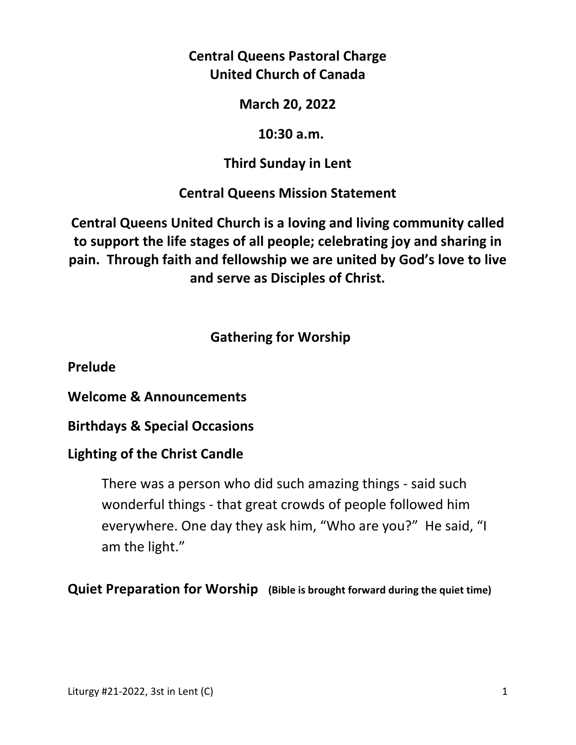# **Central Queens Pastoral Charge United Church of Canada**

**March 20, 2022** 

 **10:30 a.m.** 

**Third Sunday in Lent** 

**Central Queens Mission Statement** 

**Central Queens United Church is a loving and living community called to support the life stages of all people; celebrating joy and sharing in pain. Through faith and fellowship we are united by God's love to live and serve as Disciples of Christ.**

# **Gathering for Worship**

**Prelude** 

**Welcome & Announcements** 

**Birthdays & Special Occasions** 

# **Lighting of the Christ Candle**

There was a person who did such amazing things - said such wonderful things - that great crowds of people followed him everywhere. One day they ask him, "Who are you?" He said, "I am the light."

**Quiet Preparation for Worship (Bible is brought forward during the quiet time)**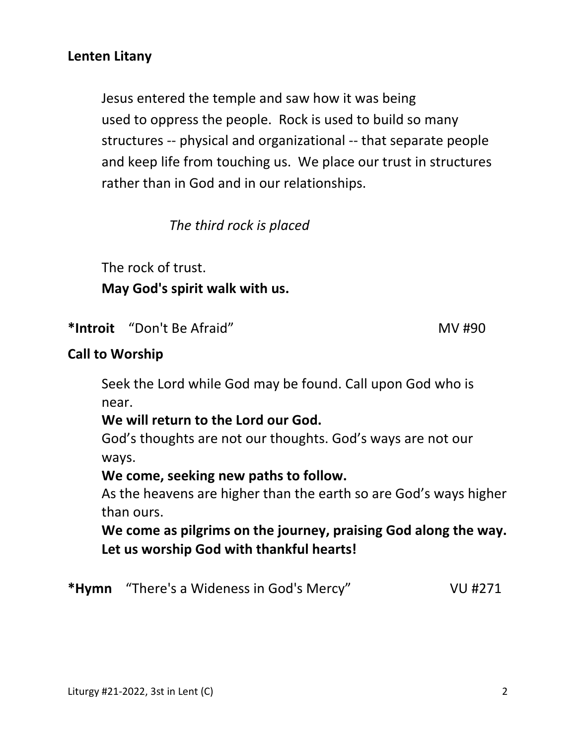#### **Lenten Litany**

 Jesus entered the temple and saw how it was being used to oppress the people. Rock is used to build so many structures -- physical and organizational -- that separate people and keep life from touching us. We place our trust in structures rather than in God and in our relationships.

*The third rock is placed* 

The rock of trust.

#### **May God's spirit walk with us.**

\*Introit "Don't Be Afraid" MV #90

#### **Call to Worship**

 Seek the Lord while God may be found. Call upon God who is near.

#### **We will return to the Lord our God.**

 God's thoughts are not our thoughts. God's ways are not our ways.

#### **We come, seeking new paths to follow.**

 As the heavens are higher than the earth so are God's ways higher than ours.

 **We come as pilgrims on the journey, praising God along the way. Let us worship God with thankful hearts!** 

**\*Hymn** "There's a Wideness in God's Mercy" VU #271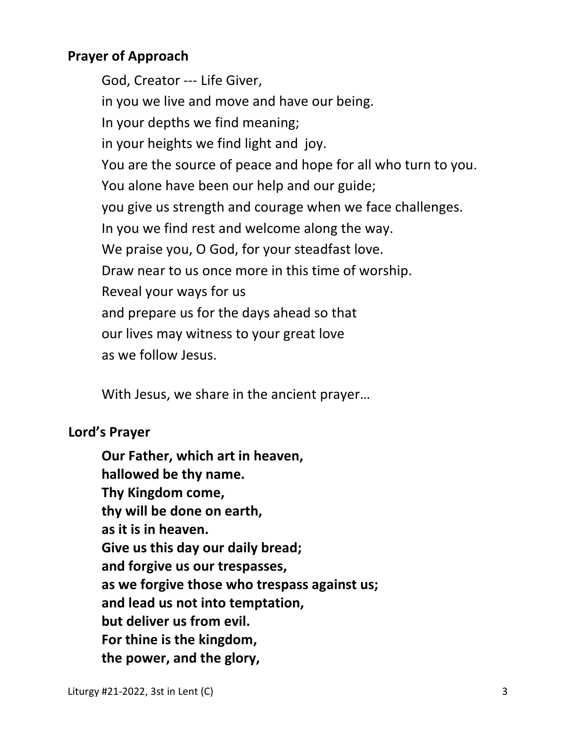# **Prayer of Approach**

God, Creator --- Life Giver, in you we live and move and have our being. In your depths we find meaning; in your heights we find light and joy. You are the source of peace and hope for all who turn to you. You alone have been our help and our guide; you give us strength and courage when we face challenges. In you we find rest and welcome along the way. We praise you, O God, for your steadfast love. Draw near to us once more in this time of worship. Reveal your ways for us and prepare us for the days ahead so that our lives may witness to your great love as we follow Jesus.

With Jesus, we share in the ancient prayer…

# **Lord's Prayer**

**Our Father, which art in heaven, hallowed be thy name. Thy Kingdom come, thy will be done on earth, as it is in heaven. Give us this day our daily bread; and forgive us our trespasses, as we forgive those who trespass against us; and lead us not into temptation, but deliver us from evil. For thine is the kingdom, the power, and the glory,**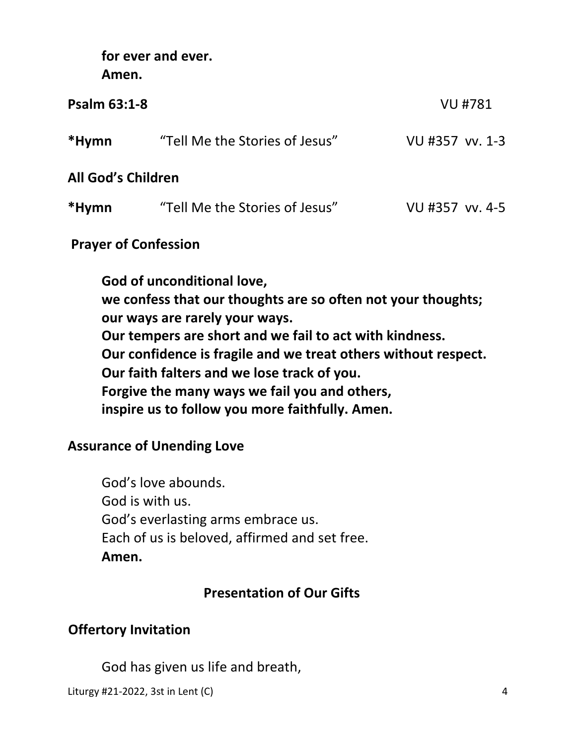**for ever and ever. Amen.** 

| <b>Psalm 63:1-8</b>       |                                | <b>VU #781</b>  |
|---------------------------|--------------------------------|-----------------|
| *Hymn                     | "Tell Me the Stories of Jesus" | VU #357 vv. 1-3 |
| <b>All God's Children</b> |                                |                 |
| *Hymn                     | "Tell Me the Stories of Jesus" | VU #357 vv. 4-5 |
|                           |                                |                 |

# **Prayer of Confession**

 **God of unconditional love, we confess that our thoughts are so often not your thoughts; our ways are rarely your ways. Our tempers are short and we fail to act with kindness. Our confidence is fragile and we treat others without respect. Our faith falters and we lose track of you. Forgive the many ways we fail you and others, inspire us to follow you more faithfully. Amen.** 

# **Assurance of Unending Love**

God's love abounds. God is with us. God's everlasting arms embrace us. Each of us is beloved, affirmed and set free. **Amen.**

# **Presentation of Our Gifts**

# **Offertory Invitation**

God has given us life and breath,

Liturgy #21-2022, 3st in Lent (C) 4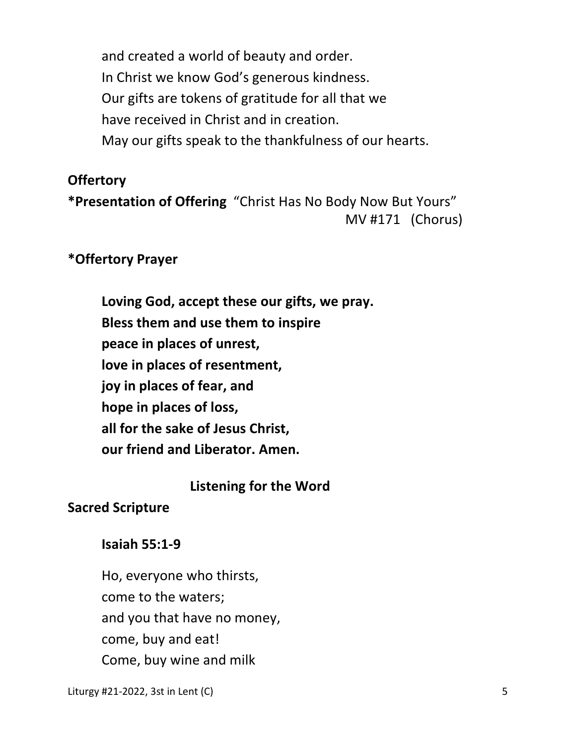and created a world of beauty and order. In Christ we know God's generous kindness. Our gifts are tokens of gratitude for all that we have received in Christ and in creation. May our gifts speak to the thankfulness of our hearts.

# **Offertory**

**\*Presentation of Offering** "Christ Has No Body Now But Yours" MV #171 (Chorus)

# **\*Offertory Prayer**

**Loving God, accept these our gifts, we pray. Bless them and use them to inspire peace in places of unrest, love in places of resentment, joy in places of fear, and hope in places of loss, all for the sake of Jesus Christ, our friend and Liberator. Amen.** 

 **Listening for the Word** 

# **Sacred Scripture**

# **Isaiah 55:1-9**

 Ho, everyone who thirsts, come to the waters; and you that have no money, come, buy and eat! Come, buy wine and milk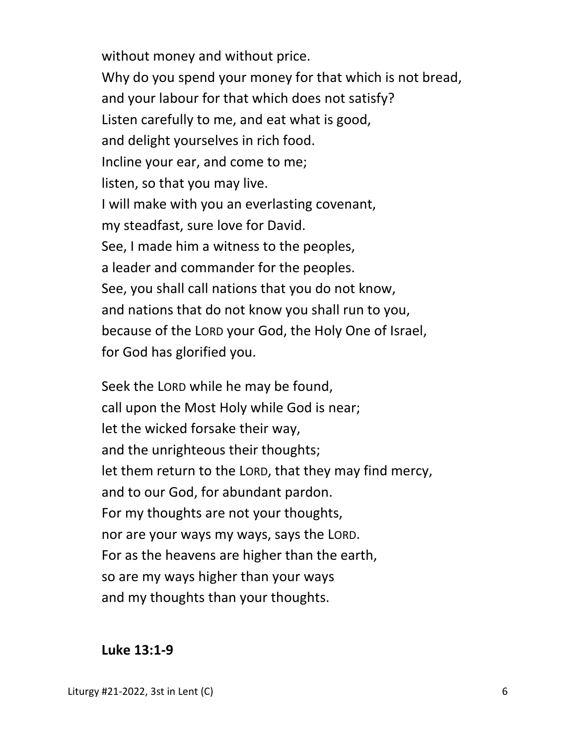without money and without price. Why do you spend your money for that which is not bread, and your labour for that which does not satisfy? Listen carefully to me, and eat what is good, and delight yourselves in rich food. Incline your ear, and come to me; listen, so that you may live. I will make with you an everlasting covenant, my steadfast, sure love for David. See, I made him a witness to the peoples, a leader and commander for the peoples. See, you shall call nations that you do not know, and nations that do not know you shall run to you, because of the LORD your God, the Holy One of Israel, for God has glorified you.

Seek the LORD while he may be found, call upon the Most Holy while God is near; let the wicked forsake their way, and the unrighteous their thoughts; let them return to the LORD, that they may find mercy, and to our God, for abundant pardon. For my thoughts are not your thoughts, nor are your ways my ways, says the LORD. For as the heavens are higher than the earth, so are my ways higher than your ways and my thoughts than your thoughts.

**Luke 13:1-9**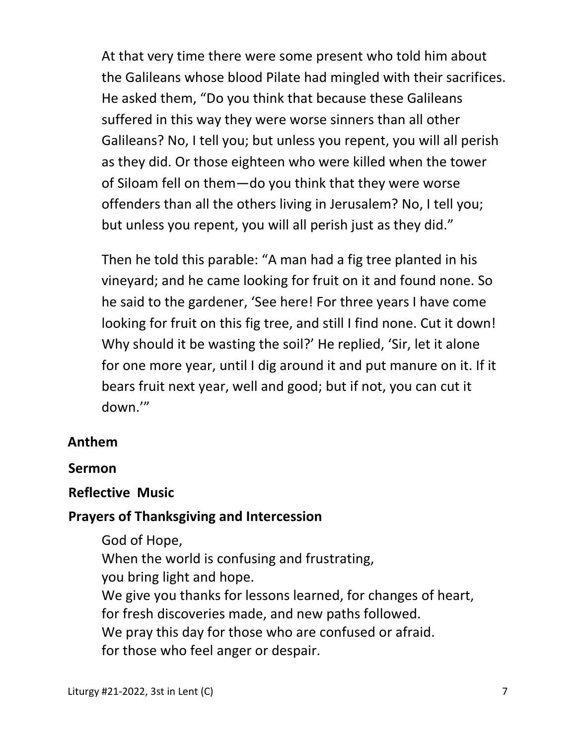At that very time there were some present who told him about the Galileans whose blood Pilate had mingled with their sacrifices. He asked them, "Do you think that because these Galileans suffered in this way they were worse sinners than all other Galileans? No, I tell you; but unless you repent, you will all perish as they did. Or those eighteen who were killed when the tower of Siloam fell on them—do you think that they were worse offenders than all the others living in Jerusalem? No, I tell you; but unless you repent, you will all perish just as they did."

Then he told this parable: "A man had a fig tree planted in his vineyard; and he came looking for fruit on it and found none. So he said to the gardener, 'See here! For three years I have come looking for fruit on this fig tree, and still I find none. Cut it down! Why should it be wasting the soil?' He replied, 'Sir, let it alone for one more year, until I dig around it and put manure on it. If it bears fruit next year, well and good; but if not, you can cut it down.'"

# **Anthem**

# **Sermon**

# **Reflective Music**

# **Prayers of Thanksgiving and Intercession**

 God of Hope, When the world is confusing and frustrating, you bring light and hope. We give you thanks for lessons learned, for changes of heart, for fresh discoveries made, and new paths followed. We pray this day for those who are confused or afraid. for those who feel anger or despair.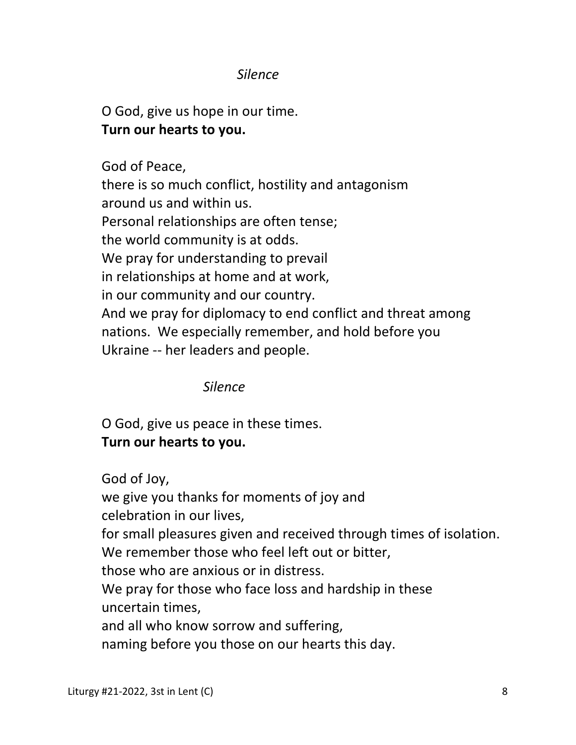# *Silence*

 O God, give us hope in our time.  **Turn our hearts to you.** 

 God of Peace, there is so much conflict, hostility and antagonism around us and within us. Personal relationships are often tense; the world community is at odds. We pray for understanding to prevail in relationships at home and at work, in our community and our country. And we pray for diplomacy to end conflict and threat among nations. We especially remember, and hold before you Ukraine -- her leaders and people.

# *Silence*

 O God, give us peace in these times.  **Turn our hearts to you.** 

God of Joy,

 we give you thanks for moments of joy and celebration in our lives,

 for small pleasures given and received through times of isolation. We remember those who feel left out or bitter,

those who are anxious or in distress.

 We pray for those who face loss and hardship in these uncertain times,

and all who know sorrow and suffering,

naming before you those on our hearts this day.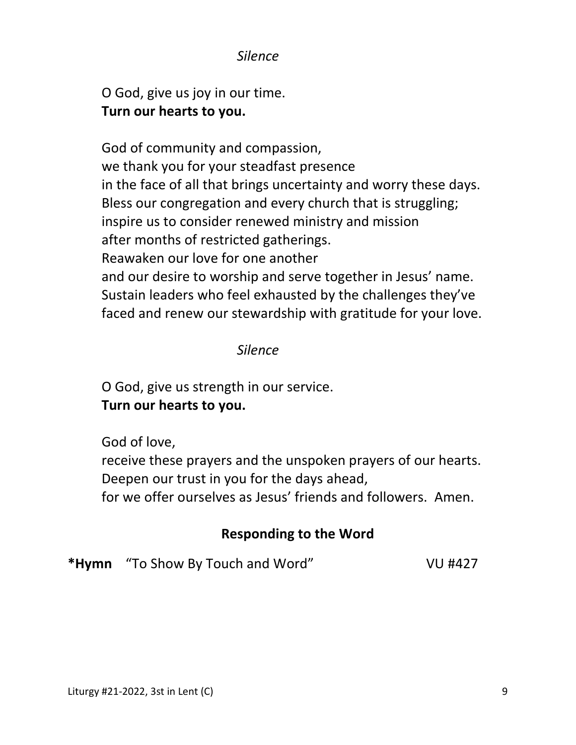#### *Silence*

 O God, give us joy in our time.  **Turn our hearts to you.** 

 God of community and compassion, we thank you for your steadfast presence in the face of all that brings uncertainty and worry these days. Bless our congregation and every church that is struggling; inspire us to consider renewed ministry and mission after months of restricted gatherings. Reawaken our love for one another and our desire to worship and serve together in Jesus' name. Sustain leaders who feel exhausted by the challenges they've faced and renew our stewardship with gratitude for your love.

#### *Silence*

 O God, give us strength in our service.  **Turn our hearts to you.** 

God of love,

 receive these prayers and the unspoken prayers of our hearts. Deepen our trust in you for the days ahead,

for we offer ourselves as Jesus' friends and followers. Amen.

# **Responding to the Word**

**\*Hymn** "To Show By Touch and Word" VU #427